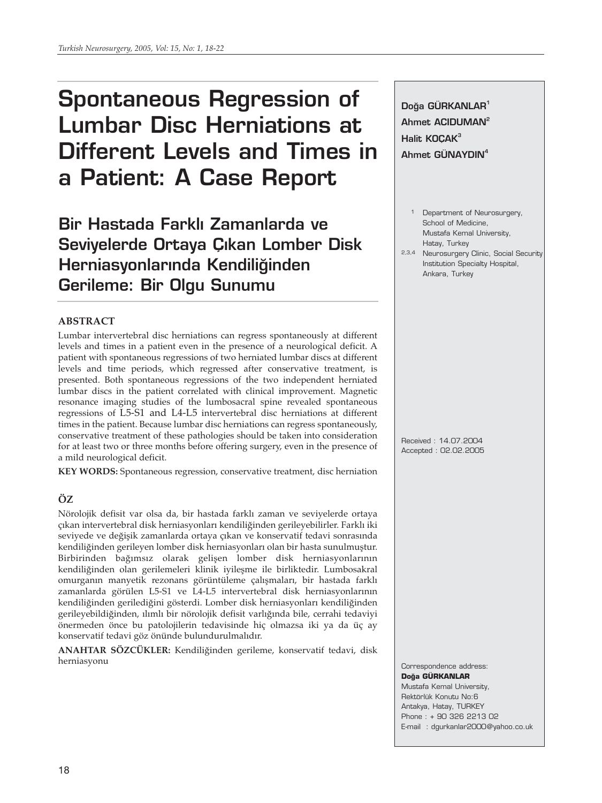# **Spontaneous Regression of Lumbar Disc Herniations at Different Levels and Times in a Patient: A Case Report**

**Bir Hastada Farkl› Zamanlarda ve Seviyelerde Ortaya Çıkan Lomber Disk Herniasyonlarında Kendiliğinden Gerileme: Bir Olgu Sunumu**

# **ABSTRACT**

Lumbar intervertebral disc herniations can regress spontaneously at different levels and times in a patient even in the presence of a neurological deficit. A patient with spontaneous regressions of two herniated lumbar discs at different levels and time periods, which regressed after conservative treatment, is presented. Both spontaneous regressions of the two independent herniated lumbar discs in the patient correlated with clinical improvement. Magnetic resonance imaging studies of the lumbosacral spine revealed spontaneous regressions of L5-S1 and L4-L5 intervertebral disc herniations at different times in the patient. Because lumbar disc herniations can regress spontaneously, conservative treatment of these pathologies should be taken into consideration for at least two or three months before offering surgery, even in the presence of a mild neurological deficit.

**KEY WORDS:** Spontaneous regression, conservative treatment, disc herniation

# **ÖZ**

Nörolojik defisit var olsa da, bir hastada farklı zaman ve seviyelerde ortaya çıkan intervertebral disk herniasyonları kendiliğinden gerileyebilirler. Farklı iki seviyede ve değişik zamanlarda ortaya çıkan ve konservatif tedavi sonrasında kendiliğinden gerileyen lomber disk herniasyonları olan bir hasta sunulmuştur. Birbirinden bağımsız olarak gelişen lomber disk herniasyonlarının kendiliğinden olan gerilemeleri klinik iyileşme ile birliktedir. Lumbosakral omurganın manyetik rezonans görüntüleme çalışmaları, bir hastada farklı zamanlarda görülen L5-S1 ve L4-L5 intervertebral disk herniasyonlarının kendiliğinden gerilediğini gösterdi. Lomber disk herniasyonları kendiliğinden gerileyebildiğinden, ılımlı bir nörolojik defisit varlığında bile, cerrahi tedaviyi önermeden önce bu patolojilerin tedavisinde hiç olmazsa iki ya da üç ay konservatif tedavi göz önünde bulundurulmalıdır.

**ANAHTAR SÖZCÜKLER:** Kendiliğinden gerileme, konservatif tedavi, disk herniasyonu

Doğa GÜRKANLAR<sup>1</sup> **Ahmet ACIDUMAN2 Halit KOÇAK3 Ahmet GÜNAYDIN4**

- 1 Department of Neurosurgery, School of Medicine, Mustafa Kemal University, Hatay, Turkey
- 2,3,4 Neurosurgery Clinic, Social Security Institution Specialty Hospital, Ankara, Turkey

Received : 14.07.2004 Accepted : 02.02.2005

Correspondence address: **Do¤a GÜRKANLAR**

Mustafa Kemal University, Rektörlük Konutu No:6 Antakya, Hatay, TURKEY Phone : + 90 326 2213 02 E-mail : dgurkanlar2000@yahoo.co.uk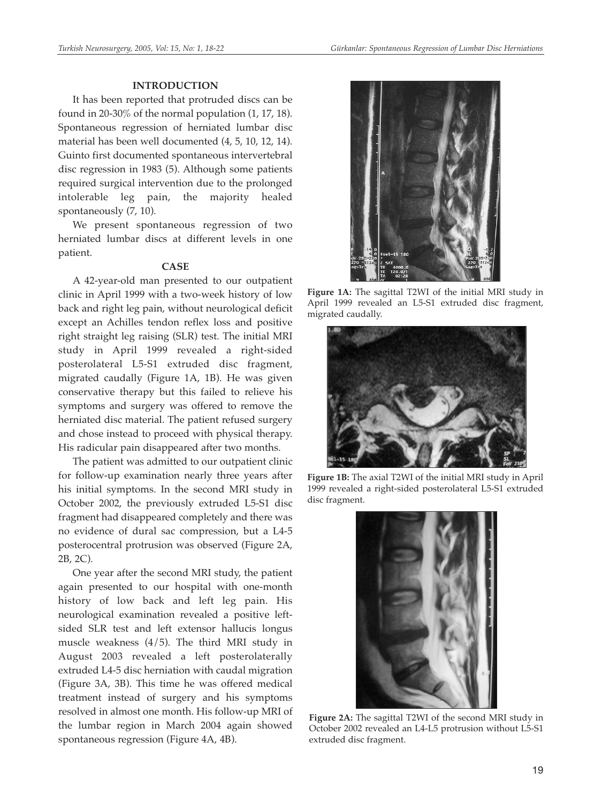## **INTRODUCTION**

It has been reported that protruded discs can be found in 20-30% of the normal population (1, 17, 18). Spontaneous regression of herniated lumbar disc material has been well documented (4, 5, 10, 12, 14). Guinto first documented spontaneous intervertebral disc regression in 1983 (5). Although some patients required surgical intervention due to the prolonged intolerable leg pain, the majority healed spontaneously (7, 10).

We present spontaneous regression of two herniated lumbar discs at different levels in one patient.

#### **CASE**

A 42-year-old man presented to our outpatient clinic in April 1999 with a two-week history of low back and right leg pain, without neurological deficit except an Achilles tendon reflex loss and positive right straight leg raising (SLR) test. The initial MRI study in April 1999 revealed a right-sided posterolateral L5-S1 extruded disc fragment, migrated caudally (Figure 1A, 1B). He was given conservative therapy but this failed to relieve his symptoms and surgery was offered to remove the herniated disc material. The patient refused surgery and chose instead to proceed with physical therapy. His radicular pain disappeared after two months.

The patient was admitted to our outpatient clinic for follow-up examination nearly three years after his initial symptoms. In the second MRI study in October 2002, the previously extruded L5-S1 disc fragment had disappeared completely and there was no evidence of dural sac compression, but a L4-5 posterocentral protrusion was observed (Figure 2A, 2B, 2C).

One year after the second MRI study, the patient again presented to our hospital with one-month history of low back and left leg pain. His neurological examination revealed a positive leftsided SLR test and left extensor hallucis longus muscle weakness (4/5). The third MRI study in August 2003 revealed a left posterolaterally extruded L4-5 disc herniation with caudal migration (Figure 3A, 3B). This time he was offered medical treatment instead of surgery and his symptoms resolved in almost one month. His follow-up MRI of the lumbar region in March 2004 again showed spontaneous regression (Figure 4A, 4B).



**Figure 1A:** The sagittal T2WI of the initial MRI study in April 1999 revealed an L5-S1 extruded disc fragment, migrated caudally.



**Figure 1B:** The axial T2WI of the initial MRI study in April 1999 revealed a right-sided posterolateral L5-S1 extruded disc fragment.



**Figure 2A:** The sagittal T2WI of the second MRI study in October 2002 revealed an L4-L5 protrusion without L5-S1 extruded disc fragment.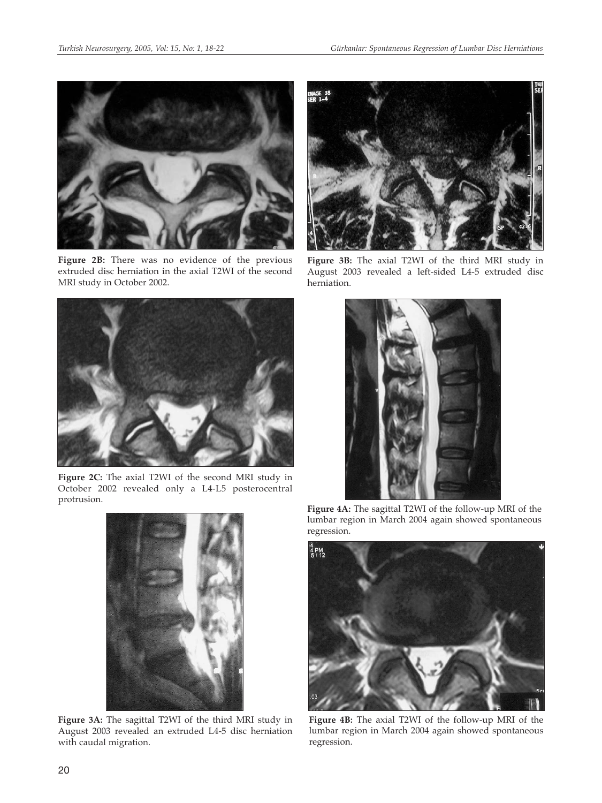

**Figure 2B:** There was no evidence of the previous extruded disc herniation in the axial T2WI of the second MRI study in October 2002.



**Figure 2C:** The axial T2WI of the second MRI study in October 2002 revealed only a L4-L5 posterocentral protrusion.



**Figure 3A:** The sagittal T2WI of the third MRI study in August 2003 revealed an extruded L4-5 disc herniation with caudal migration.



**Figure 3B:** The axial T2WI of the third MRI study in August 2003 revealed a left-sided L4-5 extruded disc herniation.



**Figure 4A:** The sagittal T2WI of the follow-up MRI of the lumbar region in March 2004 again showed spontaneous regression.



**Figure 4B:** The axial T2WI of the follow-up MRI of the lumbar region in March 2004 again showed spontaneous regression.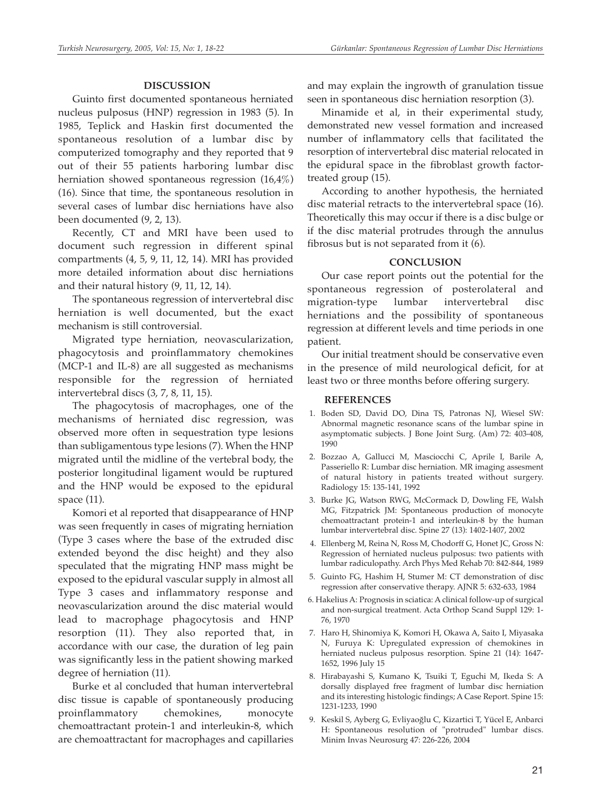## **DISCUSSION**

Guinto first documented spontaneous herniated nucleus pulposus (HNP) regression in 1983 (5). In 1985, Teplick and Haskin first documented the spontaneous resolution of a lumbar disc by computerized tomography and they reported that 9 out of their 55 patients harboring lumbar disc herniation showed spontaneous regression (16,4%) (16). Since that time, the spontaneous resolution in several cases of lumbar disc herniations have also been documented (9, 2, 13).

Recently, CT and MRI have been used to document such regression in different spinal compartments (4, 5, 9, 11, 12, 14). MRI has provided more detailed information about disc herniations and their natural history (9, 11, 12, 14).

The spontaneous regression of intervertebral disc herniation is well documented, but the exact mechanism is still controversial.

Migrated type herniation, neovascularization, phagocytosis and proinflammatory chemokines (MCP-1 and IL-8) are all suggested as mechanisms responsible for the regression of herniated intervertebral discs (3, 7, 8, 11, 15).

The phagocytosis of macrophages, one of the mechanisms of herniated disc regression, was observed more often in sequestration type lesions than subligamentous type lesions (7). When the HNP migrated until the midline of the vertebral body, the posterior longitudinal ligament would be ruptured and the HNP would be exposed to the epidural space (11).

Komori et al reported that disappearance of HNP was seen frequently in cases of migrating herniation (Type 3 cases where the base of the extruded disc extended beyond the disc height) and they also speculated that the migrating HNP mass might be exposed to the epidural vascular supply in almost all Type 3 cases and inflammatory response and neovascularization around the disc material would lead to macrophage phagocytosis and HNP resorption (11). They also reported that, in accordance with our case, the duration of leg pain was significantly less in the patient showing marked degree of herniation (11).

Burke et al concluded that human intervertebral disc tissue is capable of spontaneously producing proinflammatory chemokines, monocyte chemoattractant protein-1 and interleukin-8, which are chemoattractant for macrophages and capillaries and may explain the ingrowth of granulation tissue seen in spontaneous disc herniation resorption (3).

Minamide et al, in their experimental study, demonstrated new vessel formation and increased number of inflammatory cells that facilitated the resorption of intervertebral disc material relocated in the epidural space in the fibroblast growth factortreated group (15).

According to another hypothesis, the herniated disc material retracts to the intervertebral space (16). Theoretically this may occur if there is a disc bulge or if the disc material protrudes through the annulus fibrosus but is not separated from it (6).

# **CONCLUSION**

Our case report points out the potential for the spontaneous regression of posterolateral and migration-type lumbar intervertebral disc herniations and the possibility of spontaneous regression at different levels and time periods in one patient.

Our initial treatment should be conservative even in the presence of mild neurological deficit, for at least two or three months before offering surgery.

#### **REFERENCES**

- 1. Boden SD, David DO, Dina TS, Patronas NJ, Wiesel SW: Abnormal magnetic resonance scans of the lumbar spine in asymptomatic subjects. J Bone Joint Surg. (Am) 72: 403-408, 1990
- 2. Bozzao A, Gallucci M, Masciocchi C, Aprile I, Barile A, Passeriello R: Lumbar disc herniation. MR imaging assesment of natural history in patients treated without surgery. Radiology 15: 135-141, 1992
- 3. Burke JG, Watson RWG, McCormack D, Dowling FE, Walsh MG, Fitzpatrick JM: Spontaneous production of monocyte chemoattractant protein-1 and interleukin-8 by the human lumbar intervertebral disc. Spine 27 (13): 1402-1407, 2002
- 4. Ellenberg M, Reina N, Ross M, Chodorff G, Honet JC, Gross N: Regression of herniated nucleus pulposus: two patients with lumbar radiculopathy. Arch Phys Med Rehab 70: 842-844, 1989
- 5. Guinto FG, Hashim H, Stumer M: CT demonstration of disc regression after conservative therapy. AJNR 5: 632-633, 1984
- 6. Hakelius A: Prognosis in sciatica: A clinical follow-up of surgical and non-surgical treatment. Acta Orthop Scand Suppl 129: 1- 76, 1970
- 7. Haro H, Shinomiya K, Komori H, Okawa A, Saito I, Miyasaka N, Furuya K: Upregulated expression of chemokines in herniated nucleus pulposus resorption. Spine 21 (14): 1647- 1652, 1996 July 15
- 8. Hirabayashi S, Kumano K, Tsuiki T, Eguchi M, Ikeda S: A dorsally displayed free fragment of lumbar disc herniation and its interesting histologic findings; A Case Report. Spine 15: 1231-1233, 1990
- 9. Keskil S, Ayberg G, Evliyaoğlu C, Kizartici T, Yücel E, Anbarci H: Spontaneous resolution of "protruded" lumbar discs. Minim Invas Neurosurg 47: 226-226, 2004